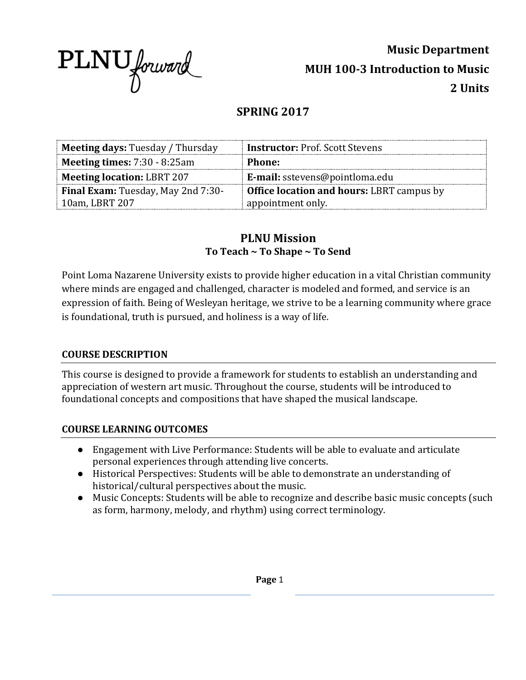

**Music Department MUH 100-3 Introduction to Music 2 Units**

# **SPRING 2017**

| <b>Meeting days: Tuesday / Thursday</b>   | <b>Instructor: Prof. Scott Stevens</b>           |  |
|-------------------------------------------|--------------------------------------------------|--|
| <b>Meeting times: 7:30 - 8:25am</b>       | <b>Phone:</b>                                    |  |
| <b>Meeting location: LBRT 207</b>         | E-mail: sstevens@pointloma.edu                   |  |
| <b>Final Exam:</b> Tuesday, May 2nd 7:30- | <b>Office location and hours: LBRT campus by</b> |  |
| 10am, LBRT 207                            | appointment only.                                |  |

# **PLNU Mission To Teach ~ To Shape ~ To Send**

Point Loma Nazarene University exists to provide higher education in a vital Christian community where minds are engaged and challenged, character is modeled and formed, and service is an expression of faith. Being of Wesleyan heritage, we strive to be a learning community where grace is foundational, truth is pursued, and holiness is a way of life.

#### **COURSE DESCRIPTION**

This course is designed to provide a framework for students to establish an understanding and appreciation of western art music. Throughout the course, students will be introduced to foundational concepts and compositions that have shaped the musical landscape.

### **COURSE LEARNING OUTCOMES**

- Engagement with Live Performance: Students will be able to evaluate and articulate personal experiences through attending live concerts.
- Historical Perspectives: Students will be able to demonstrate an understanding of historical/cultural perspectives about the music.
- Music Concepts: Students will be able to recognize and describe basic music concepts (such as form, harmony, melody, and rhythm) using correct terminology.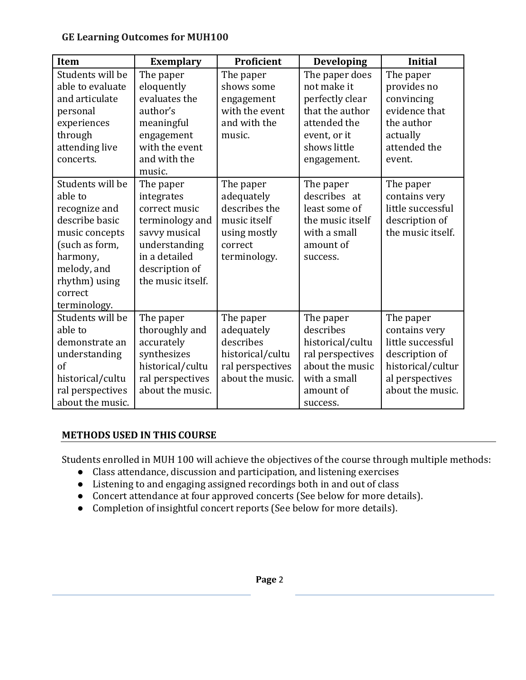### **GE Learning Outcomes for MUH100**

| Item                                                                                                                                                                      | <b>Exemplary</b>                                                                                                                                                | Proficient                                                                                          | <b>Developing</b>                                                                                                                  | <b>Initial</b>                                                                                                                |
|---------------------------------------------------------------------------------------------------------------------------------------------------------------------------|-----------------------------------------------------------------------------------------------------------------------------------------------------------------|-----------------------------------------------------------------------------------------------------|------------------------------------------------------------------------------------------------------------------------------------|-------------------------------------------------------------------------------------------------------------------------------|
| Students will be<br>able to evaluate<br>and articulate<br>personal<br>experiences<br>through<br>attending live<br>concerts.                                               | The paper<br>eloquently<br>evaluates the<br>author's<br>meaningful<br>engagement<br>with the event<br>and with the                                              | The paper<br>shows some<br>engagement<br>with the event<br>and with the<br>music.                   | The paper does<br>not make it<br>perfectly clear<br>that the author<br>attended the<br>event, or it<br>shows little<br>engagement. | The paper<br>provides no<br>convincing<br>evidence that<br>the author<br>actually<br>attended the<br>event.                   |
| Students will be<br>able to<br>recognize and<br>describe basic<br>music concepts<br>(such as form,<br>harmony,<br>melody, and<br>rhythm) using<br>correct<br>terminology. | music.<br>The paper<br>integrates<br>correct music<br>terminology and<br>savvy musical<br>understanding<br>in a detailed<br>description of<br>the music itself. | The paper<br>adequately<br>describes the<br>music itself<br>using mostly<br>correct<br>terminology. | The paper<br>describes at<br>least some of<br>the music itself<br>with a small<br>amount of<br>success.                            | The paper<br>contains very<br>little successful<br>description of<br>the music itself.                                        |
| Students will be<br>able to<br>demonstrate an<br>understanding<br>of<br>historical/cultu<br>ral perspectives<br>about the music.                                          | The paper<br>thoroughly and<br>accurately<br>synthesizes<br>historical/cultu<br>ral perspectives<br>about the music.                                            | The paper<br>adequately<br>describes<br>historical/cultu<br>ral perspectives<br>about the music.    | The paper<br>describes<br>historical/cultu<br>ral perspectives<br>about the music<br>with a small<br>amount of<br>success.         | The paper<br>contains very<br>little successful<br>description of<br>historical/cultur<br>al perspectives<br>about the music. |

# **METHODS USED IN THIS COURSE**

Students enrolled in MUH 100 will achieve the objectives of the course through multiple methods:

- Class attendance, discussion and participation, and listening exercises
- Listening to and engaging assigned recordings both in and out of class
- Concert attendance at four approved concerts (See below for more details).
- Completion of insightful concert reports (See below for more details).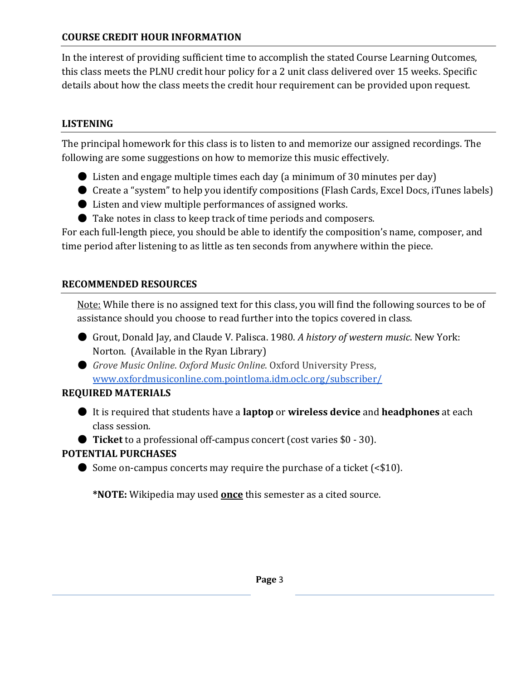## **COURSE CREDIT HOUR INFORMATION**

In the interest of providing sufficient time to accomplish the stated Course Learning Outcomes, this class meets the PLNU credit hour policy for a 2 unit class delivered over 15 weeks. Specific details about how the class meets the credit hour requirement can be provided upon request.

### **LISTENING**

The principal homework for this class is to listen to and memorize our assigned recordings. The following are some suggestions on how to memorize this music effectively.

- Listen and engage multiple times each day (a minimum of 30 minutes per day)
- Create a "system" to help you identify compositions (Flash Cards, Excel Docs, iTunes labels)
- Listen and view multiple performances of assigned works.
- Take notes in class to keep track of time periods and composers.

For each full-length piece, you should be able to identify the composition's name, composer, and time period after listening to as little as ten seconds from anywhere within the piece.

## **RECOMMENDED RESOURCES**

Note: While there is no assigned text for this class, you will find the following sources to be of assistance should you choose to read further into the topics covered in class.

- Grout, Donald Jay, and Claude V. Palisca. 1980. *A history of western music*. New York: Norton. (Available in the Ryan Library)
- *Grove Music Online*. *Oxford Music Online*. Oxford University Press, [www.oxfordmusiconline.com.pointloma.idm.oclc.org/subscriber/](http://www.oxfordmusiconline.com.pointloma.idm.oclc.org/subscriber/)

# **REQUIRED MATERIALS**

- It is required that students have a **laptop** or **wireless device** and **headphones** at each class session.
- **Ticket** to a professional off-campus concert (cost varies \$0 30).

# **POTENTIAL PURCHASES**

 $\bullet$  Some on-campus concerts may require the purchase of a ticket (<\$10).

**\*NOTE:** Wikipedia may used **once** this semester as a cited source.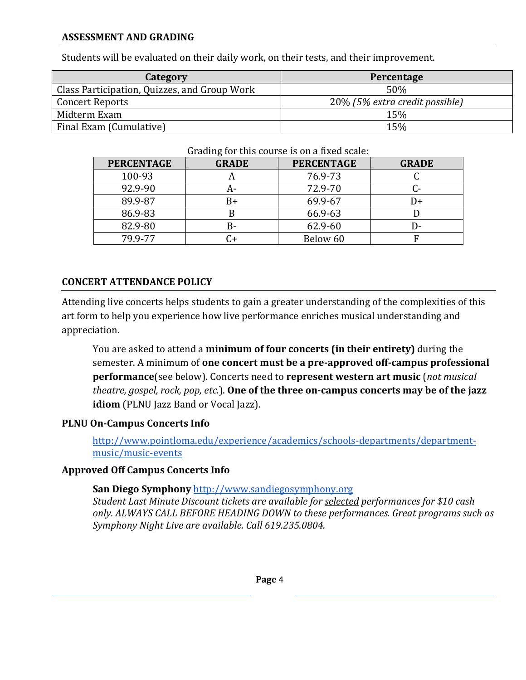#### **ASSESSMENT AND GRADING**

Students will be evaluated on their daily work, on their tests, and their improvement.

| Category                                     | Percentage                     |
|----------------------------------------------|--------------------------------|
| Class Participation, Quizzes, and Group Work | 50%                            |
| Concert Reports                              | 20% (5% extra credit possible) |
| Midterm Exam                                 | 15%                            |
| Final Exam (Cumulative)                      | 15%                            |

#### Grading for this course is on a fixed scale:

| <b>PERCENTAGE</b> | <b>GRADE</b> | <b>PERCENTAGE</b> | <b>GRADE</b> |
|-------------------|--------------|-------------------|--------------|
| 100-93            | n            | 76.9-73           |              |
| 92.9-90           | A-           | 72.9-70           |              |
| 89.9-87           | B+           | 69.9-67           | D+           |
| 86.9-83           | ĸ            | 66.9-63           |              |
| 82.9-80           | B-           | 62.9-60           | D-           |
| 79.9-77           |              | Below 60          |              |

### **CONCERT ATTENDANCE POLICY**

Attending live concerts helps students to gain a greater understanding of the complexities of this art form to help you experience how live performance enriches musical understanding and appreciation.

You are asked to attend a **minimum of four concerts (in their entirety)** during the semester. A minimum of **one concert must be a pre-approved off-campus professional performance**(see below). Concerts need to **represent western art music** (*not musical theatre, gospel, rock, pop, etc.*). **One of the three on-campus concerts may be of the jazz idiom** (PLNU Jazz Band or Vocal Jazz).

### **PLNU On-Campus Concerts Info**

[http://www.pointloma.edu/experience/academics/schools-departments/department](http://www.pointloma.edu/experience/academics/schools-departments/department-music/music-events)[music/music-events](http://www.pointloma.edu/experience/academics/schools-departments/department-music/music-events)

### **Approved Off Campus Concerts Info**

**San Diego Symphony** [http://www.sandiegosymphony.org](http://www.sandiegosymphony.org/)

*Student Last Minute Discount tickets are available for selected performances for \$10 cash only. ALWAYS CALL BEFORE HEADING DOWN to these performances. Great programs such as Symphony Night Live are available. Call 619.235.0804.*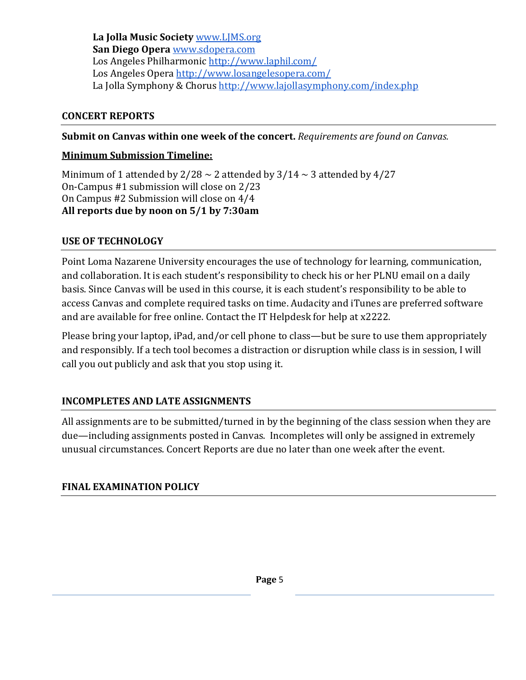**La Jolla Music Society** [www.LJMS.org](http://www.ljms.org/) **San Diego Opera** [www.sdopera.com](http://www.sdopera.com/) Los Angeles Philharmonic<http://www.laphil.com/> Los Angeles Opera<http://www.losangelesopera.com/> La Jolla Symphony & Chorus<http://www.lajollasymphony.com/index.php>

### **CONCERT REPORTS**

**Submit on Canvas within one week of the concert.** *Requirements are found on Canvas.*

### **Minimum Submission Timeline:**

Minimum of 1 attended by  $2/28 \sim 2$  attended by  $3/14 \sim 3$  attended by 4/27 On-Campus #1 submission will close on 2/23 On Campus #2 Submission will close on 4/4 **All reports due by noon on 5/1 by 7:30am**

### **USE OF TECHNOLOGY**

Point Loma Nazarene University encourages the use of technology for learning, communication, and collaboration. It is each student's responsibility to check his or her PLNU email on a daily basis. Since Canvas will be used in this course, it is each student's responsibility to be able to access Canvas and complete required tasks on time. Audacity and iTunes are preferred software and are available for free online. Contact the IT Helpdesk for help at x2222.

Please bring your laptop, iPad, and/or cell phone to class—but be sure to use them appropriately and responsibly. If a tech tool becomes a distraction or disruption while class is in session, I will call you out publicly and ask that you stop using it.

### **INCOMPLETES AND LATE ASSIGNMENTS**

All assignments are to be submitted/turned in by the beginning of the class session when they are due—including assignments posted in Canvas. Incompletes will only be assigned in extremely unusual circumstances. Concert Reports are due no later than one week after the event.

### **FINAL EXAMINATION POLICY**